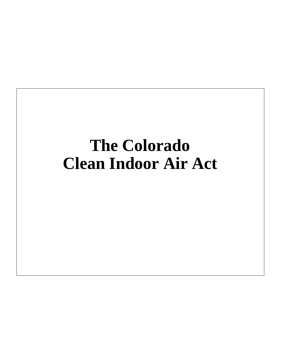#### **The Colorado Clean Indoor Air Act**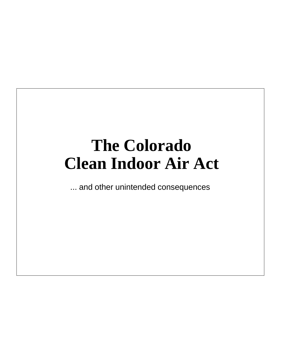#### **The Colorado Clean Indoor Air Act**

... and other unintended consequences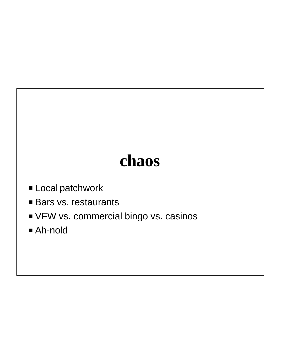#### **chaos**

- **E** Local patchwork
- **Bars vs. restaurants**
- **VFW vs. commercial bingo vs. casinos**
- P Ah-nold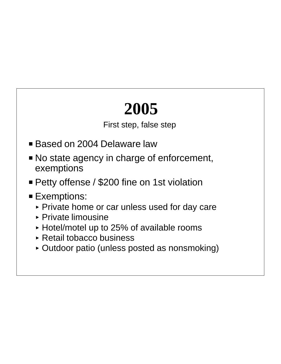## **2005**

First step, false step

- Based on 2004 Delaware law
- No state agency in charge of enforcement, exemptions
- **Petty offense / \$200 fine on 1st violation**
- **Exemptions:** 
	- ▶ Private home or car unless used for day care
	- ▶ Private limousine
	- < Hotel/motel up to 25% of available rooms
	- < Retail tobacco business
	- < Outdoor patio (unless posted as nonsmoking)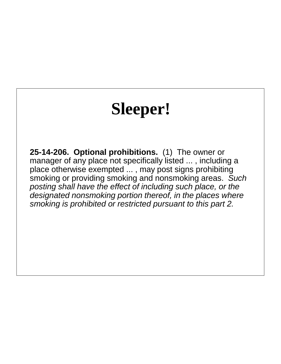## **Sleeper!**

**25-14-206. Optional prohibitions.** (1) The owner or manager of any place not specifically listed ... , including a place otherwise exempted ... , may post signs prohibiting smoking or providing smoking and nonsmoking areas. Such posting shall have the effect of including such place, or the designated nonsmoking portion thereof, in the places where smoking is prohibited or restricted pursuant to this part 2.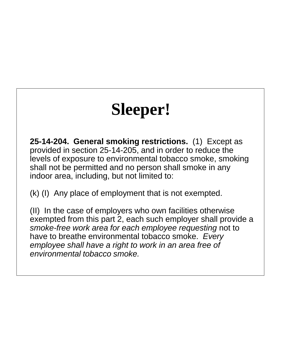## **Sleeper!**

**25-14-204. General smoking restrictions.** (1) Except as provided in section 25-14-205, and in order to reduce the levels of exposure to environmental tobacco smoke, smoking shall not be permitted and no person shall smoke in any indoor area, including, but not limited to:

(k) (I) Any place of employment that is not exempted.

(II) In the case of employers who own facilities otherwise exempted from this part 2, each such employer shall provide a smoke-free work area for each employee requesting not to have to breathe environmental tobacco smoke. Every employee shall have a right to work in an area free of environmental tobacco smoke.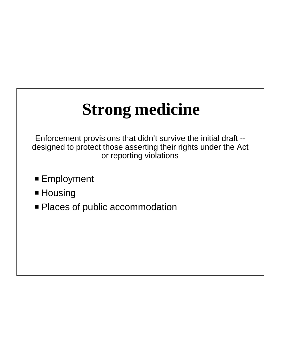# **Strong medicine**

Enforcement provisions that didn't survive the initial draft - designed to protect those asserting their rights under the Act or reporting violations

- **Employment**
- Housing
- Places of public accommodation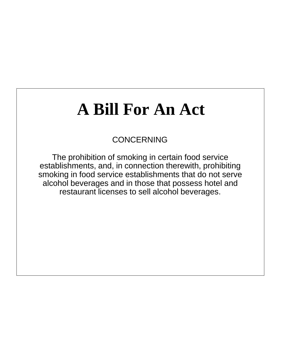## **A Bill For An Act**

#### CONCERNING

The prohibition of smoking in certain food service establishments, and, in connection therewith, prohibiting smoking in food service establishments that do not serve alcohol beverages and in those that possess hotel and restaurant licenses to sell alcohol beverages.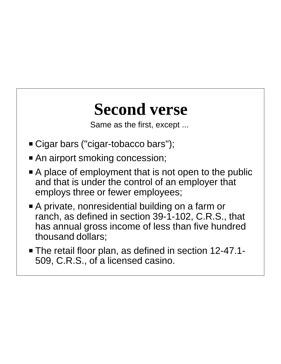#### **Second verse**

Same as the first, except ...

- Cigar bars ("cigar-tobacco bars");
- An airport smoking concession;
- $\blacksquare$  A place of employment that is not open to the public and that is under the control of an employer that employs three or fewer employees;
- A private, nonresidential building on a farm or ranch, as defined in section 39-1-102, C.R.S., that has annual gross income of less than five hundred thousand dollars;
- The retail floor plan, as defined in section 12-47.1-509, C.R.S., of a licensed casino.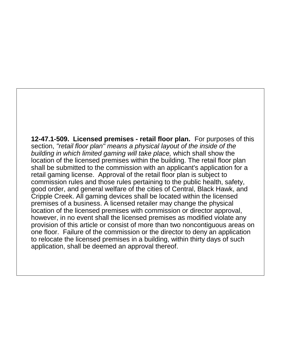**12-47.1-509. Licensed premises - retail floor plan.** For purposes of this section, "retail floor plan" means a physical layout of the inside of the building in which limited gaming will take place, which shall show the location of the licensed premises within the building. The retail floor plan shall be submitted to the commission with an applicant's application for a retail gaming license. Approval of the retail floor plan is subject to commission rules and those rules pertaining to the public health, safety, good order, and general welfare of the cities of Central, Black Hawk, and Cripple Creek. All gaming devices shall be located within the licensed premises of a business. A licensed retailer may change the physical location of the licensed premises with commission or director approval, however, in no event shall the licensed premises as modified violate any provision of this article or consist of more than two noncontiguous areas on one floor. Failure of the commission or the director to deny an application to relocate the licensed premises in a building, within thirty days of such application, shall be deemed an approval thereof.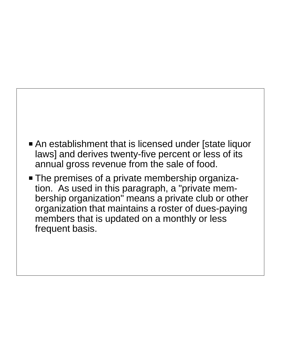

• The premises of a private membership organization. As used in this paragraph, a "private membership organization" means a private club or other organization that maintains a roster of dues-paying members that is updated on a monthly or less frequent basis.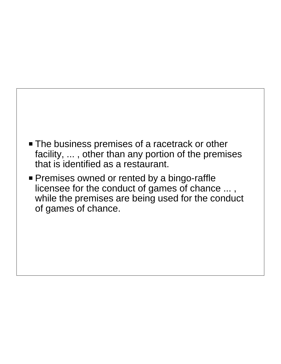

**Premises owned or rented by a bingo-raffle** licensee for the conduct of games of chance ... , while the premises are being used for the conduct of games of chance.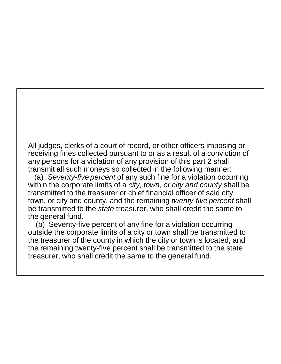All judges, clerks of a court of record, or other officers imposing or receiving fines collected pursuant to or as a result of a conviction of any persons for a violation of any provision of this part 2 shall transmit all such moneys so collected in the following manner:

(a) Seventy-five percent of any such fine for a violation occurring within the corporate limits of a city, town, or city and county shall be transmitted to the treasurer or chief financial officer of said city, town, or city and county, and the remaining twenty-five percent shall be transmitted to the *state* treasurer, who shall credit the same to the general fund.

 (b) Seventy-five percent of any fine for a violation occurring outside the corporate limits of a city or town shall be transmitted to the treasurer of the county in which the city or town is located, and the remaining twenty-five percent shall be transmitted to the state treasurer, who shall credit the same to the general fund.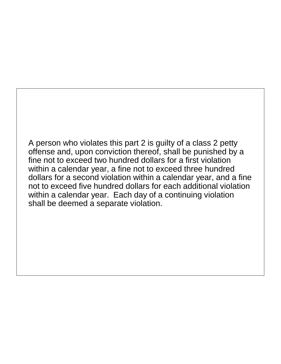A person who violates this part 2 is guilty of a class 2 petty offense and, upon conviction thereof, shall be punished by a fine not to exceed two hundred dollars for a first violation within a calendar year, a fine not to exceed three hundred dollars for a second violation within a calendar year, and a fine not to exceed five hundred dollars for each additional violation within a calendar year. Each day of a continuing violation shall be deemed a separate violation.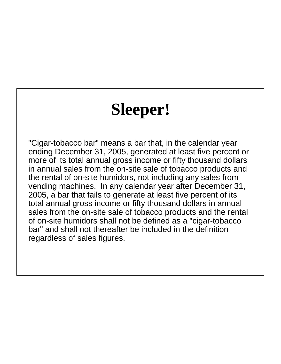#### **Sleeper!**

"Cigar-tobacco bar" means a bar that, in the calendar year ending December 31, 2005, generated at least five percent or more of its total annual gross income or fifty thousand dollars in annual sales from the on-site sale of tobacco products and the rental of on-site humidors, not including any sales from vending machines. In any calendar year after December 31, 2005, a bar that fails to generate at least five percent of its total annual gross income or fifty thousand dollars in annual sales from the on-site sale of tobacco products and the rental of on-site humidors shall not be defined as a "cigar-tobacco bar" and shall not thereafter be included in the definition regardless of sales figures.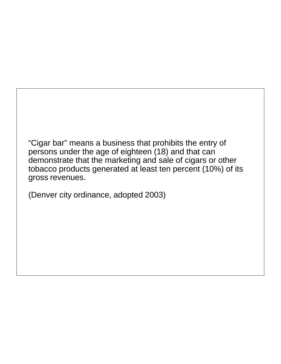"Cigar bar" means a business that prohibits the entry of persons under the age of eighteen (18) and that can demonstrate that the marketing and sale of cigars or other tobacco products generated at least ten percent (10%) of its gross revenues.

(Denver city ordinance, adopted 2003)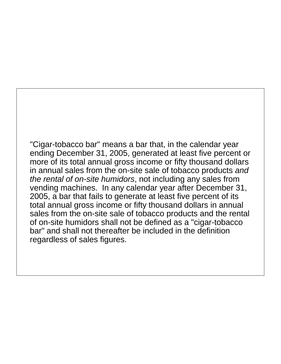"Cigar-tobacco bar" means a bar that, in the calendar year ending December 31, 2005, generated at least five percent or more of its total annual gross income or fifty thousand dollars in annual sales from the on-site sale of tobacco products and the rental of on-site humidors, not including any sales from vending machines. In any calendar year after December 31, 2005, a bar that fails to generate at least five percent of its total annual gross income or fifty thousand dollars in annual sales from the on-site sale of tobacco products and the rental of on-site humidors shall not be defined as a "cigar-tobacco bar" and shall not thereafter be included in the definition regardless of sales figures.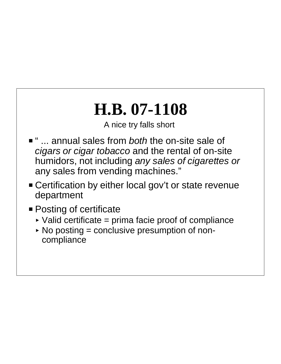#### **H.B. 07-1108**

A nice try falls short

- " ... annual sales from *both* the on-site sale of cigars or cigar tobacco and the rental of on-site humidors, not including any sales of cigarettes or any sales from vending machines."
- **Exercification by either local gov't or state revenue** department
- **Posting of certificate** 
	- $\triangleright$  Valid certificate = prima facie proof of compliance
	- $\triangleright$  No posting = conclusive presumption of noncompliance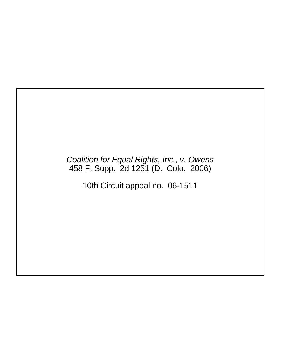#### Coalition for Equal Rights, Inc., v. Owens 458 F. Supp. 2d 1251 (D. Colo. 2006)

10th Circuit appeal no. 06-1511